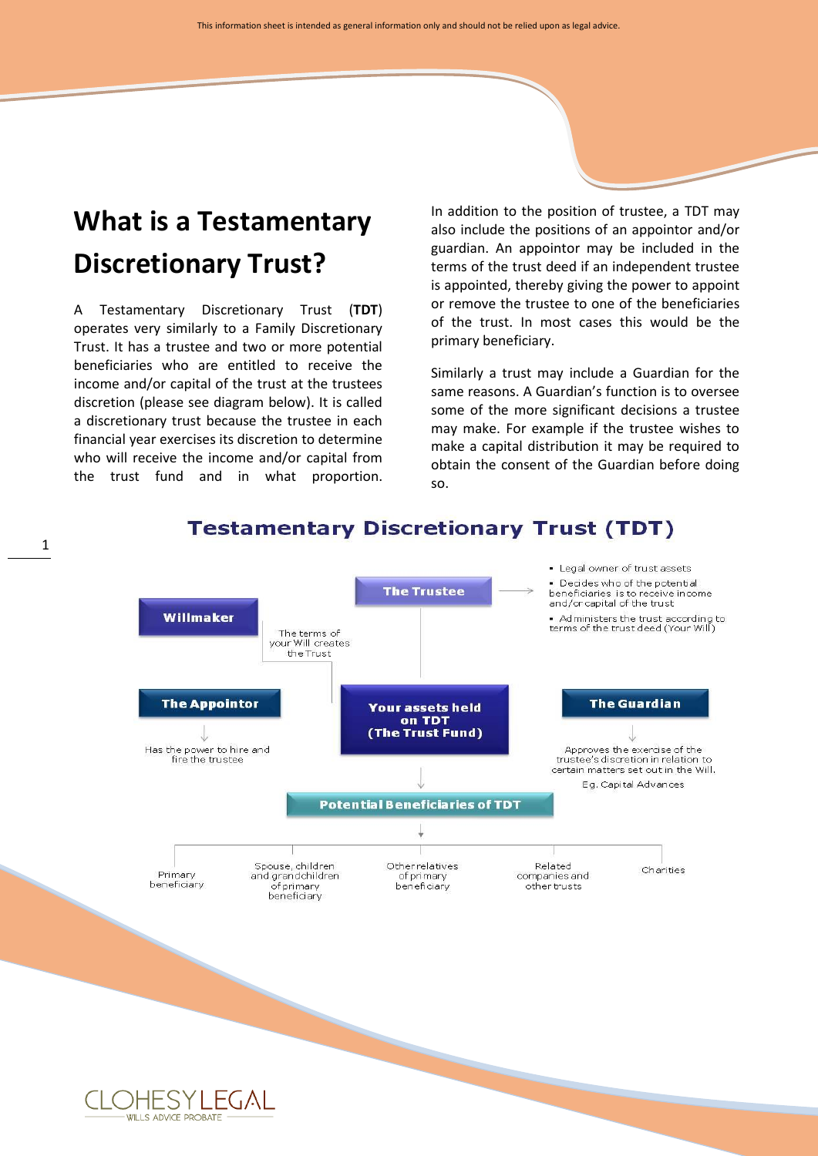# **What is a Testamentary Discretionary Trust?**

A Testamentary Discretionary Trust (**TDT**) operates very similarly to a Family Discretionary Trust. It has a trustee and two or more potential beneficiaries who are entitled to receive the income and/or capital of the trust at the trustees discretion (please see diagram below). It is called a discretionary trust because the trustee in each financial year exercises its discretion to determine who will receive the income and/or capital from the trust fund and in what proportion. In addition to the position of trustee, a TDT may also include the positions of an appointor and/or guardian. An appointor may be included in the terms of the trust deed if an independent trustee is appointed, thereby giving the power to appoint or remove the trustee to one of the beneficiaries of the trust. In most cases this would be the primary beneficiary.

Similarly a trust may include a Guardian for the same reasons. A Guardian's function is to oversee some of the more significant decisions a trustee may make. For example if the trustee wishes to make a capital distribution it may be required to obtain the consent of the Guardian before doing so.



### **Testamentary Discretionary Trust (TDT)**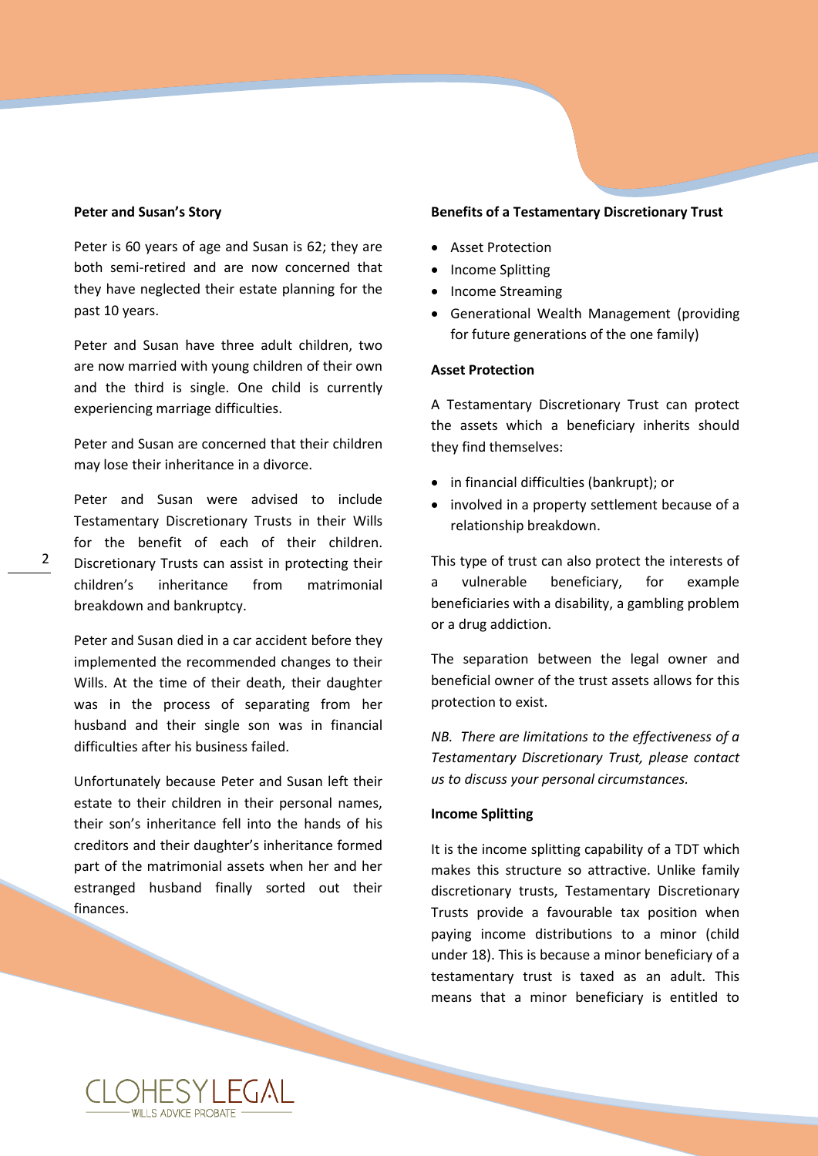#### **Peter and Susan's Story**

Peter is 60 years of age and Susan is 62; they are both semi-retired and are now concerned that they have neglected their estate planning for the past 10 years.

Peter and Susan have three adult children, two are now married with young children of their own and the third is single. One child is currently experiencing marriage difficulties.

Peter and Susan are concerned that their children may lose their inheritance in a divorce.

Peter and Susan were advised to include Testamentary Discretionary Trusts in their Wills for the benefit of each of their children. Discretionary Trusts can assist in protecting their children's inheritance from matrimonial breakdown and bankruptcy.

Peter and Susan died in a car accident before they implemented the recommended changes to their Wills. At the time of their death, their daughter was in the process of separating from her husband and their single son was in financial difficulties after his business failed.

Unfortunately because Peter and Susan left their estate to their children in their personal names, their son's inheritance fell into the hands of his creditors and their daughter's inheritance formed part of the matrimonial assets when her and her estranged husband finally sorted out their finances.

#### **Benefits of a Testamentary Discretionary Trust**

- Asset Protection
- Income Splitting
- Income Streaming
- Generational Wealth Management (providing for future generations of the one family)

#### **Asset Protection**

A Testamentary Discretionary Trust can protect the assets which a beneficiary inherits should they find themselves:

- in financial difficulties (bankrupt); or
- involved in a property settlement because of a relationship breakdown.

This type of trust can also protect the interests of a vulnerable beneficiary, for example beneficiaries with a disability, a gambling problem or a drug addiction.

The separation between the legal owner and beneficial owner of the trust assets allows for this protection to exist.

*NB. There are limitations to the effectiveness of a Testamentary Discretionary Trust, please contact us to discuss your personal circumstances.*

#### **Income Splitting**

It is the income splitting capability of a TDT which makes this structure so attractive. Unlike family discretionary trusts, Testamentary Discretionary Trusts provide a favourable tax position when paying income distributions to a minor (child under 18). This is because a minor beneficiary of a testamentary trust is taxed as an adult. This means that a minor beneficiary is entitled to

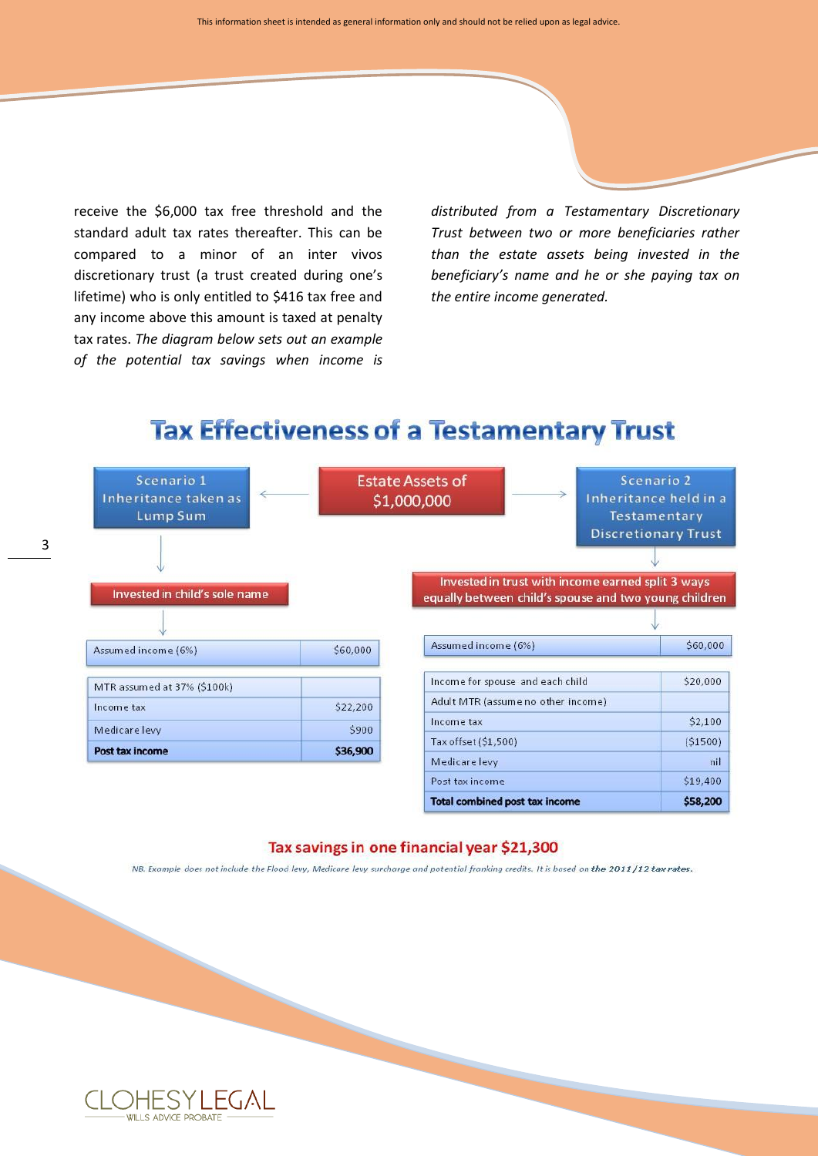receive the \$6,000 tax free threshold and the standard adult tax rates thereafter. This can be compared to a minor of an inter vivos discretionary trust (a trust created during one's lifetime) who is only entitled to \$416 tax free and any income above this amount is taxed at penalty tax rates. *The diagram below sets out an example of the potential tax savings when income is*

3

*distributed from a Testamentary Discretionary Trust between two or more beneficiaries rather than the estate assets being invested in the beneficiary's name and he or she paying tax on the entire income generated.*

## **Tax Effectiveness of a Testamentary Trust**

| Scenario 1<br>Inheritance taken as<br>Lump Sum<br>Invested in child's sole name |          | <b>Estate Assets of</b><br>\$1,000,000 |                                    | Scenario 2<br>Inheritance held in a<br>Testamentary<br><b>Discretionary Trust</b><br>Invested in trust with income earned split 3 ways<br>equally between child's spouse and two young children |
|---------------------------------------------------------------------------------|----------|----------------------------------------|------------------------------------|-------------------------------------------------------------------------------------------------------------------------------------------------------------------------------------------------|
| Assumed income (6%)                                                             | \$60,000 | Assumed income (6%)                    |                                    | \$60,000                                                                                                                                                                                        |
| MTR assumed at 37% (\$100k)                                                     |          | Income for spouse and each child       |                                    | \$20,000                                                                                                                                                                                        |
| Income tax                                                                      | \$22,200 |                                        | Adult MTR (assume no other income) |                                                                                                                                                                                                 |
| Medicare levy                                                                   | \$900    | Income tax                             |                                    | \$2,100                                                                                                                                                                                         |
| Post tax income                                                                 | \$36,900 | Tax offset (\$1,500)                   |                                    | (51500)                                                                                                                                                                                         |
|                                                                                 |          | Medicare levy                          |                                    | nil                                                                                                                                                                                             |
|                                                                                 |          | Post tax income                        |                                    | \$19,400                                                                                                                                                                                        |

#### Tax savings in one financial year \$21,300

**Total combined post tax income** 

\$58,200

NB. Example does not include the Flood levy, Medicare levy surcharge and potential franking credits. It is based on the 2011/12 tax rates.